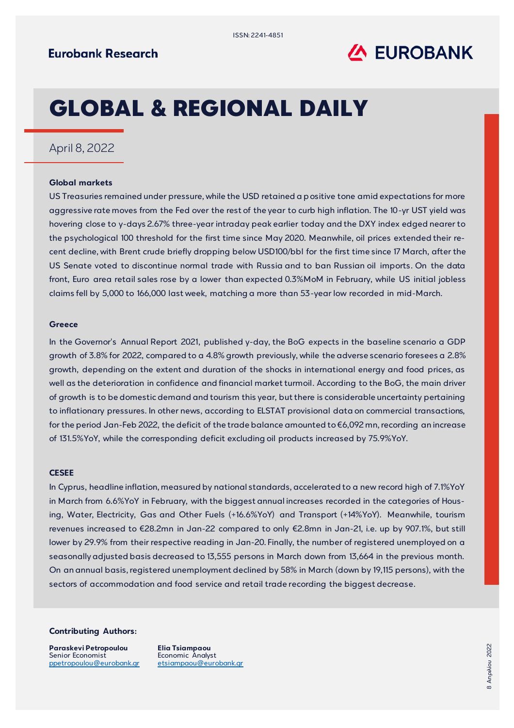

# GLOBAL & REGIONAL DAILY

## April 8, 2022

### **Global markets**

US Treasuries remained under pressure, while the USD retained a positive tone amid expectations for more aggressive rate moves from the Fed over the rest of the year to curb high inflation. The 10-yr UST yield was hovering close to y-days 2.67% three-year intraday peak earlier today and the DXY index edged nearer to the psychological 100 threshold for the first time since May 2020. Meanwhile, oil prices extended their recent decline, with Brent crude briefly dropping below USD100/bbl for the first time since 17 March, after the US Senate voted to discontinue normal trade with Russia and to ban Russian oil imports. On the data front, Euro area retail sales rose by a lower than expected 0.3%MoM in February, while US initial jobless claims fell by 5,000 to 166,000 last week, matching a more than 53-year low recorded in mid-March.

#### **Greece**

In the Governor's Annual Report 2021, published y-day, the BoG expects in the baseline scenario a GDP growth of 3.8% for 2022, compared to a 4.8% growth previously, while the adverse scenario foresees a 2.8% growth, depending on the extent and duration of the shocks in international energy and food prices, as well as the deterioration in confidence and financial market turmoil. According to the BoG, the main driver of growth is to be domestic demand and tourism this year, but there is considerable uncertainty pertaining to inflationary pressures. In other news, according to ELSTAT provisional data on commercial transactions, for the period Jan-Feb 2022, the deficit of the trade balance amounted to €6,092 mn, recording an increase of 131.5%YoY, while the corresponding deficit excluding oil products increased by 75.9%YoY.

#### **CESEE**

In Cyprus, headline inflation, measured by national standards, accelerated to a new record high of 7.1%YoY in March from 6.6%YoY in February, with the biggest annual increases recorded in the categories of Housing, Water, Electricity, Gas and Other Fuels (+16.6%YoY) and Transport (+14%YoY). Meanwhile, tourism revenues increased to €28.2mn in Jan-22 compared to only €2.8mn in Jan-21, i.e. up by 907.1%, but still lower by 29.9% from their respective reading in Jan-20. Finally, the number of registered unemployed on a seasonally adjusted basis decreased to 13,555 persons in March down from 13,664 in the previous month. On an annual basis, registered unemployment declined by 58% in March (down by 19,115 persons), with the sectors of accommodation and food service and retail trade recording the biggest decrease.

#### **Contributing Authors:**

**Paraskevi Petropoulou** Senior Economist ppetropoulou[@eurobank.gr](mailto:andimitriadou@eurobank.gr)

**Elia Tsiampaou** Economic Analyst [etsiampaou@eurobank.gr](mailto:etsiampaou@eurobank.gr)